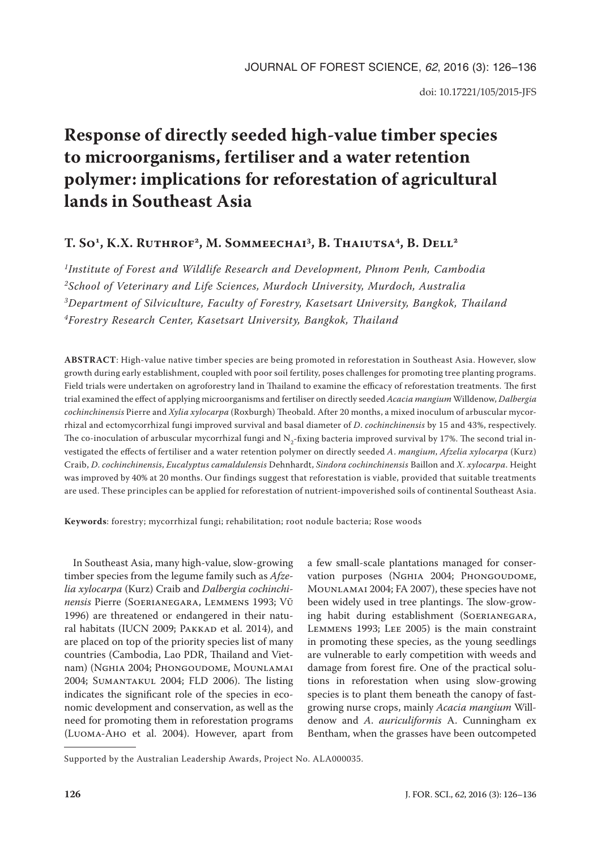# **Response of directly seeded high-value timber species to microorganisms, fertiliser and a water retention polymer: implications for reforestation of agricultural lands in Southeast Asia**

# T. So<sup>1</sup>, K.X. RUTHROF<sup>2</sup>, M. SOMMEECHAI<sup>3</sup>, B. THAIUTSA<sup>4</sup>, B. DELL<sup>2</sup>

*1Institute of Forest and Wildlife Research and Development, Phnom Penh, Cambodia 2School of Veterinary and Life Sciences, Murdoch University, Murdoch, Australia 3Department of Silviculture, Faculty of Forestry, Kasetsart University, Bangkok, Thailand 4Forestry Research Center, Kasetsart University, Bangkok, Thailand*

**ABSTRACT**: High-value native timber species are being promoted in reforestation in Southeast Asia. However, slow growth during early establishment, coupled with poor soil fertility, poses challenges for promoting tree planting programs. Field trials were undertaken on agroforestry land in Thailand to examine the efficacy of reforestation treatments. The first trial examined the effect of applying microorganisms and fertiliser on directly seeded *Acacia mangium* Willdenow, *Dalbergia cochinchinensis* Pierre and *Xylia xylocarpa* (Roxburgh) Theobald. After 20 months, a mixed inoculum of arbuscular mycorrhizal and ectomycorrhizal fungi improved survival and basal diameter of *D*. *cochinchinensis* by 15 and 43%, respectively. The co-inoculation of arbuscular mycorrhizal fungi and  $N<sub>2</sub>$ -fixing bacteria improved survival by 17%. The second trial investigated the effects of fertiliser and a water retention polymer on directly seeded *A*. *mangium*, *Afzelia xylocarpa* (Kurz) Craib, *D*. *cochinchinensis*, *Eucalyptus camaldulensis* Dehnhardt, *Sindora cochinchinensis* Baillon and *X*. *xylocarpa*. Height was improved by 40% at 20 months. Our findings suggest that reforestation is viable, provided that suitable treatments are used. These principles can be applied for reforestation of nutrient-impoverished soils of continental Southeast Asia.

**Keywords**: forestry; mycorrhizal fungi; rehabilitation; root nodule bacteria; Rose woods

In Southeast Asia, many high-value, slow-growing timber species from the legume family such as *Afzelia xylocarpa* (Kurz) Craib and *Dalbergia cochinchinensis* Pierre (Soerianegara, Lemmens 1993; Vũ 1996) are threatened or endangered in their natural habitats (IUCN 2009; PAKKAD et al. 2014), and are placed on top of the priority species list of many countries (Cambodia, Lao PDR, Thailand and Vietnam) (Nghia 2004; Phongoudome, Mounlamai 2004; Sumantakul 2004; FLD 2006). The listing indicates the significant role of the species in economic development and conservation, as well as the need for promoting them in reforestation programs (Luoma-Aho et al. 2004). However, apart from

a few small-scale plantations managed for conservation purposes (NGHIA 2004; PHONGOUDOME, Mounlamai 2004; FA 2007), these species have not been widely used in tree plantings. The slow-growing habit during establishment (Soerianegara, Lemmens 1993; Lee 2005) is the main constraint in promoting these species, as the young seedlings are vulnerable to early competition with weeds and damage from forest fire. One of the practical solutions in reforestation when using slow-growing species is to plant them beneath the canopy of fastgrowing nurse crops, mainly *Acacia mangium* Willdenow and *A*. *auriculiformis* A. Cunningham ex Bentham, when the grasses have been outcompeted

Supported by the Australian Leadership Awards, Project No. ALA000035.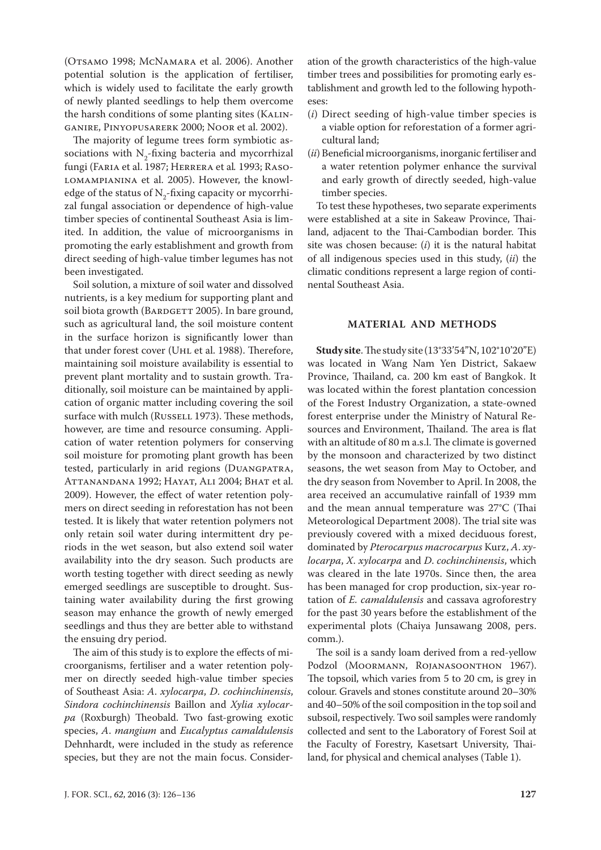(OTSAMO 1998; MCNAMARA et al. 2006). Another potential solution is the application of fertiliser, which is widely used to facilitate the early growth of newly planted seedlings to help them overcome the harsh conditions of some planting sites (Kalinganire, Pinyopusarerk 2000; Noor et al. 2002).

The majority of legume trees form symbiotic associations with  $N_2$ -fixing bacteria and mycorrhizal fungi (Faria et al. 1987; Herrera et al*.* 1993; Rasolomampianina et al. 2005). However, the knowledge of the status of  $N_2$ -fixing capacity or mycorrhizal fungal association or dependence of high-value timber species of continental Southeast Asia is limited. In addition, the value of microorganisms in promoting the early establishment and growth from direct seeding of high-value timber legumes has not been investigated.

Soil solution, a mixture of soil water and dissolved nutrients, is a key medium for supporting plant and soil biota growth (BARDGETT 2005). In bare ground, such as agricultural land, the soil moisture content in the surface horizon is significantly lower than that under forest cover (Uhl et al. 1988). Therefore, maintaining soil moisture availability is essential to prevent plant mortality and to sustain growth. Traditionally, soil moisture can be maintained by application of organic matter including covering the soil surface with mulch (RUSSELL 1973). These methods, however, are time and resource consuming. Application of water retention polymers for conserving soil moisture for promoting plant growth has been tested, particularly in arid regions (DUANGPATRA, Attanandana 1992; Hayat, Ali 2004; Bhat et al. 2009). However, the effect of water retention polymers on direct seeding in reforestation has not been tested. It is likely that water retention polymers not only retain soil water during intermittent dry periods in the wet season, but also extend soil water availability into the dry season. Such products are worth testing together with direct seeding as newly emerged seedlings are susceptible to drought. Sustaining water availability during the first growing season may enhance the growth of newly emerged seedlings and thus they are better able to withstand the ensuing dry period.

The aim of this study is to explore the effects of microorganisms, fertiliser and a water retention polymer on directly seeded high-value timber species of Southeast Asia: *A*. *xylocarpa*, *D*. *cochinchinensis*, *Sindora cochinchinensis* Baillon and *Xylia xylocarpa* (Roxburgh) Theobald. Two fast-growing exotic species, *A*. *mangium* and *Eucalyptus camaldulensis* Dehnhardt, were included in the study as reference species, but they are not the main focus. Consideration of the growth characteristics of the high-value timber trees and possibilities for promoting early establishment and growth led to the following hypotheses:

- (*i*) Direct seeding of high-value timber species is a viable option for reforestation of a former agricultural land;
- (*ii*) Beneficial microorganisms, inorganic fertiliser and a water retention polymer enhance the survival and early growth of directly seeded, high-value timber species.

To test these hypotheses, two separate experiments were established at a site in Sakeaw Province, Thailand, adjacent to the Thai-Cambodian border. This site was chosen because: (*i*) it is the natural habitat of all indigenous species used in this study, (*ii*) the climatic conditions represent a large region of continental Southeast Asia.

# **MATERIAL AND METHODS**

**Study site**. The study site (13°33'54"N, 102°10'20''E) was located in Wang Nam Yen District, Sakaew Province, Thailand, ca. 200 km east of Bangkok. It was located within the forest plantation concession of the Forest Industry Organization, a state-owned forest enterprise under the Ministry of Natural Resources and Environment, Thailand. The area is flat with an altitude of 80 m a.s.l. The climate is governed by the monsoon and characterized by two distinct seasons, the wet season from May to October, and the dry season from November to April. In 2008, the area received an accumulative rainfall of 1939 mm and the mean annual temperature was 27°C (Thai Meteorological Department 2008). The trial site was previously covered with a mixed deciduous forest, dominated by *Pterocarpus macrocarpus* Kurz, *A*. *xylocarpa*, *X*. *xylocarpa* and *D*. *cochinchinensis*, which was cleared in the late 1970s. Since then, the area has been managed for crop production, six-year rotation of *E. camaldulensis* and cassava agroforestry for the past 30 years before the establishment of the experimental plots (Chaiya Junsawang 2008, pers. comm.).

The soil is a sandy loam derived from a red-yellow Podzol (MOORMANN, ROJANASOONTHON 1967). The topsoil, which varies from 5 to 20 cm, is grey in colour. Gravels and stones constitute around 20–30% and 40–50% of the soil composition in the top soil and subsoil, respectively. Two soil samples were randomly collected and sent to the Laboratory of Forest Soil at the Faculty of Forestry, Kasetsart University, Thailand, for physical and chemical analyses (Table 1).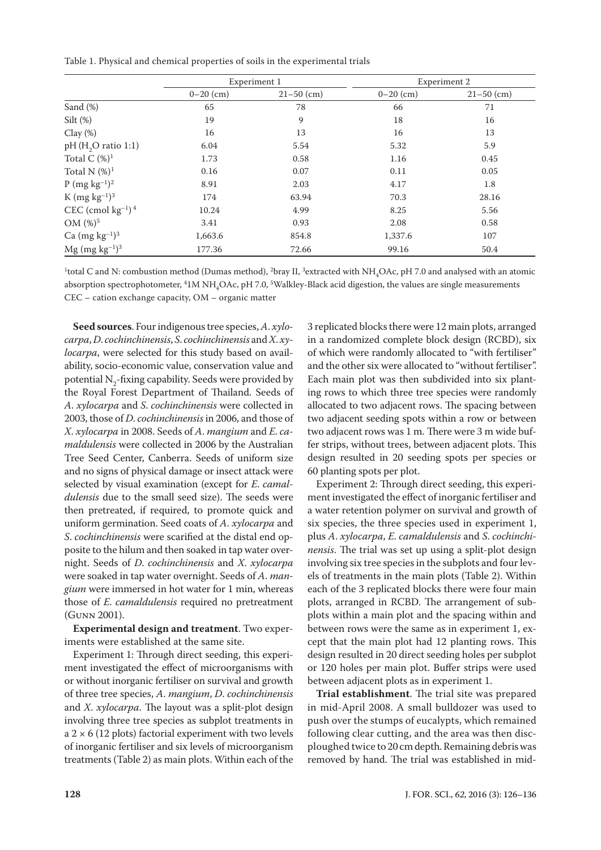Table 1. Physical and chemical properties of soils in the experimental trials

|                                    |             | Experiment 1   | Experiment 2 |                |  |
|------------------------------------|-------------|----------------|--------------|----------------|--|
|                                    | $0-20$ (cm) | $21 - 50$ (cm) | $0-20$ (cm)  | $21 - 50$ (cm) |  |
| Sand (%)                           | 65          | 78             | 66           | 71             |  |
| Silt $(\%)$                        | 19          | 9              | 18           | 16             |  |
| $Clay(\%)$                         | 16          | 13             | 16           | 13             |  |
| $pH$ (H <sub>2</sub> O ratio 1:1)  | 6.04        | 5.54           | 5.32         | 5.9            |  |
| Total C $(\%)^1$                   | 1.73        | 0.58           | 1.16         | 0.45           |  |
| Total N $(\%)^1$                   | 0.16        | 0.07           | 0.11         | 0.05           |  |
| $P (mg kg^{-1})^2$                 | 8.91        | 2.03           | 4.17         | 1.8            |  |
| K (mg $kg^{-1}$ ) <sup>3</sup>     | 174         | 63.94          | 70.3         | 28.16          |  |
| CEC (cmol $kg^{-1}$ ) <sup>4</sup> | 10.24       | 4.99           | 8.25         | 5.56           |  |
| $OM (%)^5$                         | 3.41        | 0.93           | 2.08         | 0.58           |  |
| Ca $(mg kg^{-1})^3$                | 1,663.6     | 854.8          | 1,337.6      | 107            |  |
| $Mg$ (mg kg <sup>-1)3</sup>        | 177.36      | 72.66          | 99.16        | 50.4           |  |

<sup>1</sup>total C and N: combustion method (Dumas method), <sup>2</sup>bray II, <sup>3</sup>extracted with NH<sub>4</sub>OAc, pH 7.0 and analysed with an atomic absorption spectrophotometer, <sup>4</sup>1M NH<sub>4</sub>OAc, pH 7.0, <sup>5</sup>Walkley-Black acid digestion, the values are single measurements CEC – cation exchange capacity, OM – organic matter

**Seed sources**. Four indigenous tree species, *A*. *xylocarpa*, *D*. *cochinchinensis*, *S*. *cochinchinensis* and *X*. *xylocarpa*, were selected for this study based on availability, socio-economic value, conservation value and potential  $N_2$ -fixing capability. Seeds were provided by the Royal Forest Department of Thailand. Seeds of *A*. *xylocarpa* and *S*. *cochinchinensis* were collected in 2003, those of *D*. *cochinchinensis* in 2006, and those of *X*. *xylocarpa* in 2008. Seeds of *A*. *mangium* and *E*. *camaldulensis* were collected in 2006 by the Australian Tree Seed Center, Canberra. Seeds of uniform size and no signs of physical damage or insect attack were selected by visual examination (except for *E*. *camaldulensis* due to the small seed size). The seeds were then pretreated, if required, to promote quick and uniform germination. Seed coats of *A*. *xylocarpa* and *S*. *cochinchinensis* were scarified at the distal end opposite to the hilum and then soaked in tap water overnight. Seeds of *D*. *cochinchinensis* and *X*. *xylocarpa* were soaked in tap water overnight. Seeds of *A*. *mangium* were immersed in hot water for 1 min, whereas those of *E*. *camaldulensis* required no pretreatment (Gunn 2001).

**Experimental design and treatment**. Two experiments were established at the same site.

Experiment 1: Through direct seeding, this experiment investigated the effect of microorganisms with or without inorganic fertiliser on survival and growth of three tree species, *A*. *mangium*, *D*. *cochinchinensis*  and *X*. *xylocarpa*. The layout was a split-plot design involving three tree species as subplot treatments in a  $2 \times 6$  (12 plots) factorial experiment with two levels of inorganic fertiliser and six levels of microorganism treatments (Table 2) as main plots. Within each of the 3 replicated blocks there were 12 main plots, arranged in a randomized complete block design (RCBD), six of which were randomly allocated to "with fertiliser" and the other six were allocated to "without fertiliser". Each main plot was then subdivided into six planting rows to which three tree species were randomly allocated to two adjacent rows. The spacing between two adjacent seeding spots within a row or between two adjacent rows was 1 m. There were 3 m wide buffer strips, without trees, between adjacent plots. This design resulted in 20 seeding spots per species or 60 planting spots per plot.

Experiment 2: Through direct seeding, this experiment investigated the effect of inorganic fertiliser and a water retention polymer on survival and growth of six species, the three species used in experiment 1, plus *A*. *xylocarpa*, *E*. *camaldulensis* and *S*. *cochinchinensis*. The trial was set up using a split-plot design involving six tree species in the subplots and four levels of treatments in the main plots (Table 2). Within each of the 3 replicated blocks there were four main plots, arranged in RCBD. The arrangement of subplots within a main plot and the spacing within and between rows were the same as in experiment 1, except that the main plot had 12 planting rows. This design resulted in 20 direct seeding holes per subplot or 120 holes per main plot. Buffer strips were used between adjacent plots as in experiment 1.

**Trial establishment**. The trial site was prepared in mid-April 2008. A small bulldozer was used to push over the stumps of eucalypts, which remained following clear cutting, and the area was then discploughed twice to 20 cm depth. Remaining debris was removed by hand. The trial was established in mid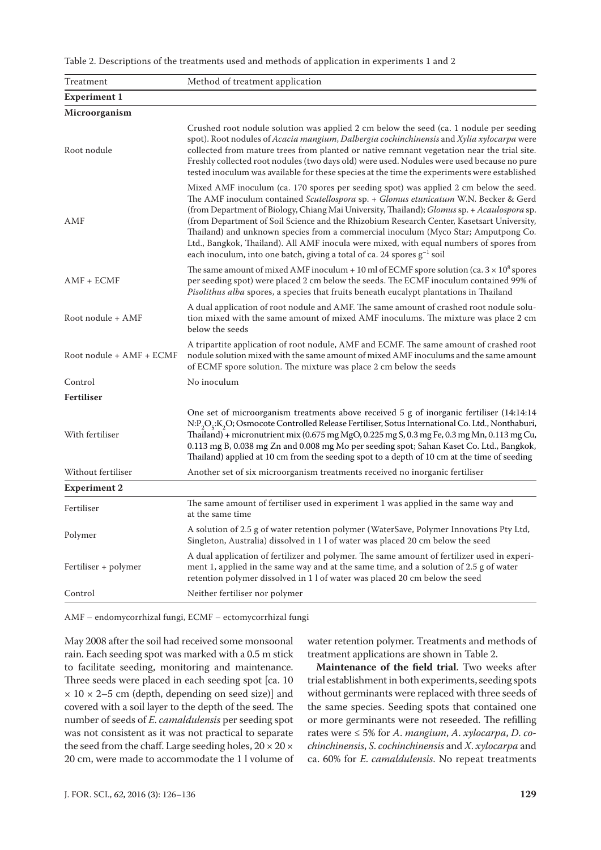Table 2. Descriptions of the treatments used and methods of application in experiments 1 and 2

| Treatment                | Method of treatment application                                                                                                                                                                                                                                                                                                                                                                                                                                                                                                                                                                                                                  |  |  |  |
|--------------------------|--------------------------------------------------------------------------------------------------------------------------------------------------------------------------------------------------------------------------------------------------------------------------------------------------------------------------------------------------------------------------------------------------------------------------------------------------------------------------------------------------------------------------------------------------------------------------------------------------------------------------------------------------|--|--|--|
| <b>Experiment 1</b>      |                                                                                                                                                                                                                                                                                                                                                                                                                                                                                                                                                                                                                                                  |  |  |  |
| Microorganism            |                                                                                                                                                                                                                                                                                                                                                                                                                                                                                                                                                                                                                                                  |  |  |  |
| Root nodule              | Crushed root nodule solution was applied 2 cm below the seed (ca. 1 nodule per seeding<br>spot). Root nodules of Acacia mangium, Dalbergia cochinchinensis and Xylia xylocarpa were<br>collected from mature trees from planted or native remnant vegetation near the trial site.<br>Freshly collected root nodules (two days old) were used. Nodules were used because no pure<br>tested inoculum was available for these species at the time the experiments were established                                                                                                                                                                  |  |  |  |
| AMF                      | Mixed AMF inoculum (ca. 170 spores per seeding spot) was applied 2 cm below the seed.<br>The AMF inoculum contained Scutellospora sp. + Glomus etunicatum W.N. Becker & Gerd<br>(from Department of Biology, Chiang Mai University, Thailand); Glomus sp. + Acaulospora sp.<br>(from Department of Soil Science and the Rhizobium Research Center, Kasetsart University,<br>Thailand) and unknown species from a commercial inoculum (Myco Star; Amputpong Co.<br>Ltd., Bangkok, Thailand). All AMF inocula were mixed, with equal numbers of spores from<br>each inoculum, into one batch, giving a total of ca. 24 spores g <sup>-1</sup> soil |  |  |  |
| $AMF + ECMF$             | The same amount of mixed AMF inoculum + 10 ml of ECMF spore solution (ca. $3 \times 10^8$ spores<br>per seeding spot) were placed 2 cm below the seeds. The ECMF inoculum contained 99% of<br>Pisolithus alba spores, a species that fruits beneath eucalypt plantations in Thailand                                                                                                                                                                                                                                                                                                                                                             |  |  |  |
| Root nodule + AMF        | A dual application of root nodule and AMF. The same amount of crashed root nodule solu-<br>tion mixed with the same amount of mixed AMF inoculums. The mixture was place 2 cm<br>below the seeds                                                                                                                                                                                                                                                                                                                                                                                                                                                 |  |  |  |
| Root nodule + AMF + ECMF | A tripartite application of root nodule, AMF and ECMF. The same amount of crashed root<br>nodule solution mixed with the same amount of mixed AMF inoculums and the same amount<br>of ECMF spore solution. The mixture was place 2 cm below the seeds                                                                                                                                                                                                                                                                                                                                                                                            |  |  |  |
| Control                  | No inoculum                                                                                                                                                                                                                                                                                                                                                                                                                                                                                                                                                                                                                                      |  |  |  |
| <b>Fertiliser</b>        |                                                                                                                                                                                                                                                                                                                                                                                                                                                                                                                                                                                                                                                  |  |  |  |
| With fertiliser          | One set of microorganism treatments above received 5 g of inorganic fertiliser (14:14:14<br>N:P <sub>2</sub> O <sub>5</sub> :K <sub>2</sub> O; Osmocote Controlled Release Fertiliser, Sotus International Co. Ltd., Nonthaburi,<br>Thailand) + micronutrient mix (0.675 mg MgO, 0.225 mg S, 0.3 mg Fe, 0.3 mg Mn, 0.113 mg Cu,<br>0.113 mg B, 0.038 mg Zn and 0.008 mg Mo per seeding spot; Sahan Kaset Co. Ltd., Bangkok,<br>Thailand) applied at 10 cm from the seeding spot to a depth of 10 cm at the time of seeding                                                                                                                       |  |  |  |
| Without fertiliser       | Another set of six microorganism treatments received no inorganic fertiliser                                                                                                                                                                                                                                                                                                                                                                                                                                                                                                                                                                     |  |  |  |
| <b>Experiment 2</b>      |                                                                                                                                                                                                                                                                                                                                                                                                                                                                                                                                                                                                                                                  |  |  |  |
| Fertiliser               | The same amount of fertiliser used in experiment 1 was applied in the same way and<br>at the same time                                                                                                                                                                                                                                                                                                                                                                                                                                                                                                                                           |  |  |  |
| Polymer                  | A solution of 2.5 g of water retention polymer (WaterSave, Polymer Innovations Pty Ltd,<br>Singleton, Australia) dissolved in 1 l of water was placed 20 cm below the seed                                                                                                                                                                                                                                                                                                                                                                                                                                                                       |  |  |  |
| Fertiliser + polymer     | A dual application of fertilizer and polymer. The same amount of fertilizer used in experi-<br>ment 1, applied in the same way and at the same time, and a solution of 2.5 g of water<br>retention polymer dissolved in 1 l of water was placed 20 cm below the seed                                                                                                                                                                                                                                                                                                                                                                             |  |  |  |
| Control                  | Neither fertiliser nor polymer                                                                                                                                                                                                                                                                                                                                                                                                                                                                                                                                                                                                                   |  |  |  |

AMF – endomycorrhizal fungi, ECMF – ectomycorrhizal fungi

May 2008 after the soil had received some monsoonal rain. Each seeding spot was marked with a 0.5 m stick to facilitate seeding, monitoring and maintenance. Three seeds were placed in each seeding spot [ca. 10  $\times$  10  $\times$  2–5 cm (depth, depending on seed size)] and covered with a soil layer to the depth of the seed. The number of seeds of *E*. *camaldulensis* per seeding spot was not consistent as it was not practical to separate the seed from the chaff. Large seeding holes,  $20 \times 20 \times$ 20 cm, were made to accommodate the 1 l volume of

water retention polymer. Treatments and methods of treatment applications are shown in Table 2.

**Maintenance of the field trial**. Two weeks after trial establishment in both experiments, seeding spots without germinants were replaced with three seeds of the same species. Seeding spots that contained one or more germinants were not reseeded. The refilling rates were ≤ 5% for *A*. *mangium*, *A*. *xylocarpa*, *D*. *cochinchinensis*, *S*. *cochinchinensis* and *X*. *xylocarpa* and ca. 60% for *E*. *camaldulensis*. No repeat treatments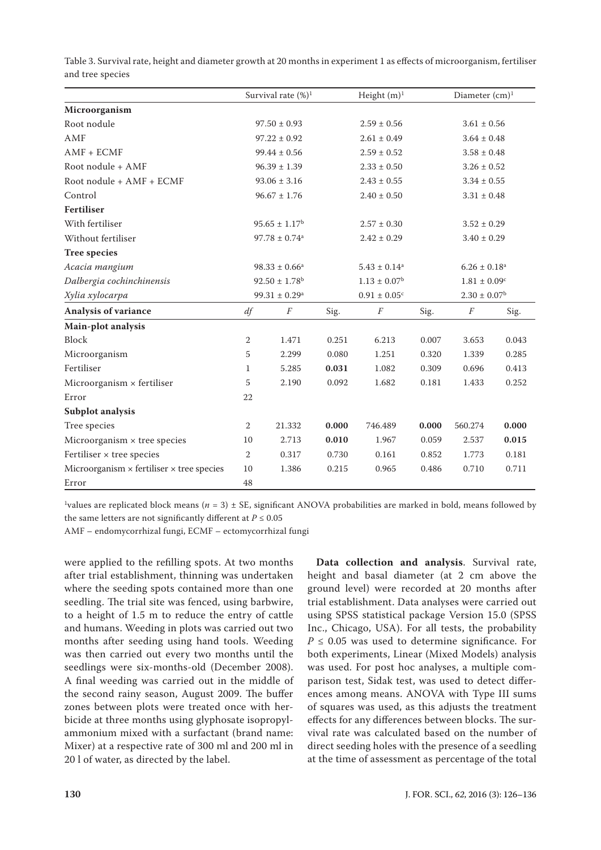|                                                         | Survival rate $(\%)^1$<br>Height $(m)^1$ |                          | Diameter $(cm)^1$ |                              |                 |                              |       |
|---------------------------------------------------------|------------------------------------------|--------------------------|-------------------|------------------------------|-----------------|------------------------------|-------|
| Microorganism                                           |                                          |                          |                   |                              |                 |                              |       |
| Root nodule                                             |                                          | $97.50 \pm 0.93$         |                   | $2.59 \pm 0.56$              |                 | $3.61 \pm 0.56$              |       |
| AMF                                                     |                                          | $97.22 \pm 0.92$         |                   | $2.61 \pm 0.49$              |                 | $3.64 \pm 0.48$              |       |
| $AMF + ECMF$                                            |                                          | $99.44 \pm 0.56$         |                   | $2.59 \pm 0.52$              |                 | $3.58 \pm 0.48$              |       |
| Root nodule + AMF                                       |                                          | $96.39 \pm 1.39$         | $2.33 \pm 0.50$   |                              | $3.26 \pm 0.52$ |                              |       |
| Root nodule + AMF + ECMF                                | $93.06 \pm 3.16$                         |                          | $2.43 \pm 0.55$   |                              | $3.34 \pm 0.55$ |                              |       |
| Control                                                 | $96.67 \pm 1.76$                         |                          | $2.40 \pm 0.50$   |                              | $3.31 \pm 0.48$ |                              |       |
| <b>Fertiliser</b>                                       |                                          |                          |                   |                              |                 |                              |       |
| With fertiliser                                         |                                          | $95.65 \pm 1.17^{\rm b}$ |                   | $2.57 \pm 0.30$              |                 | $3.52 \pm 0.29$              |       |
| Without fertiliser                                      | $97.78 \pm 0.74$ <sup>a</sup>            |                          |                   | $2.42 \pm 0.29$              |                 | $3.40 \pm 0.29$              |       |
| <b>Tree species</b>                                     |                                          |                          |                   |                              |                 |                              |       |
| Acacia mangium                                          |                                          | $98.33 \pm 0.66^a$       |                   | $5.43 \pm 0.14^a$            |                 | $6.26 \pm 0.18$ <sup>a</sup> |       |
| Dalbergia cochinchinensis                               | $92.50 \pm 1.78$ <sup>b</sup>            |                          |                   | $1.13 \pm 0.07^{\rm b}$      |                 | $1.81 \pm 0.09^c$            |       |
| Xylia xylocarpa                                         | $99.31 \pm 0.29$ <sup>a</sup>            |                          |                   | $0.91 \pm 0.05$ <sup>c</sup> |                 | $2.30 \pm 0.07$ <sup>b</sup> |       |
| Analysis of variance                                    |                                          | $\boldsymbol{F}$         | Sig.              | $\cal F$                     | Sig.            | $\cal F$                     | Sig.  |
| Main-plot analysis                                      |                                          |                          |                   |                              |                 |                              |       |
| Block                                                   | $\overline{2}$                           | 1.471                    | 0.251             | 6.213                        | 0.007           | 3.653                        | 0.043 |
| Microorganism                                           | 5                                        | 2.299                    | 0.080             | 1.251                        | 0.320           | 1.339                        | 0.285 |
| Fertiliser                                              | $\mathbf{1}$                             | 5.285                    | 0.031             | 1.082                        | 0.309           | 0.696                        | 0.413 |
| Microorganism $\times$ fertiliser                       | 5                                        | 2.190                    | 0.092             | 1.682                        | 0.181           | 1.433                        | 0.252 |
| Error                                                   |                                          |                          |                   |                              |                 |                              |       |
| Subplot analysis                                        |                                          |                          |                   |                              |                 |                              |       |
| Tree species                                            | $\overline{2}$                           | 21.332                   | 0.000             | 746.489                      | 0.000           | 560.274                      | 0.000 |
| Microorganism $\times$ tree species                     | 10                                       | 2.713                    | 0.010             | 1.967                        | 0.059           | 2.537                        | 0.015 |
| Fertiliser × tree species                               | $\overline{2}$                           | 0.317                    | 0.730             | 0.161                        | 0.852           | 1.773                        | 0.181 |
| Microorganism $\times$ fertiliser $\times$ tree species |                                          | 1.386                    | 0.215             | 0.965                        | 0.486           | 0.710                        | 0.711 |
| Error                                                   |                                          |                          |                   |                              |                 |                              |       |

Table 3. Survival rate, height and diameter growth at 20 months in experiment 1 as effects of microorganism, fertiliser and tree species

<sup>1</sup>values are replicated block means ( $n = 3$ )  $\pm$  SE, significant ANOVA probabilities are marked in bold, means followed by the same letters are not significantly different at  $P \leq 0.05$ 

AMF – endomycorrhizal fungi, ECMF – ectomycorrhizal fungi

were applied to the refilling spots. At two months after trial establishment, thinning was undertaken where the seeding spots contained more than one seedling. The trial site was fenced, using barbwire, to a height of 1.5 m to reduce the entry of cattle and humans. Weeding in plots was carried out two months after seeding using hand tools. Weeding was then carried out every two months until the seedlings were six-months-old (December 2008). A final weeding was carried out in the middle of the second rainy season, August 2009. The buffer zones between plots were treated once with herbicide at three months using glyphosate isopropylammonium mixed with a surfactant (brand name: Mixer) at a respective rate of 300 ml and 200 ml in 20 l of water, as directed by the label.

**Data collection and analysis**. Survival rate, height and basal diameter (at 2 cm above the ground level) were recorded at 20 months after trial establishment. Data analyses were carried out using SPSS statistical package Version 15.0 (SPSS Inc., Chicago, USA). For all tests, the probability  $P \leq 0.05$  was used to determine significance. For both experiments, Linear (Mixed Models) analysis was used. For post hoc analyses, a multiple comparison test, Sidak test, was used to detect differences among means. ANOVA with Type III sums of squares was used, as this adjusts the treatment effects for any differences between blocks. The survival rate was calculated based on the number of direct seeding holes with the presence of a seedling at the time of assessment as percentage of the total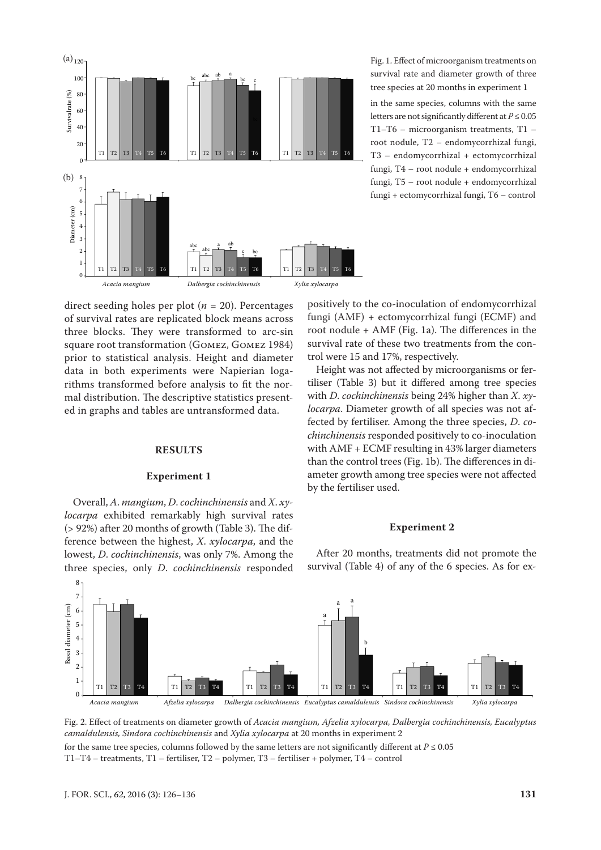

Fig. 1. Effect of microorganism treatments on survival rate and diameter growth of three tree species at 20 months in experiment 1

in the same species, columns with the same letters are not significantly different at *P* ≤ 0.05 T1–T6 – microorganism treatments, T1 – root nodule, T2 – endomycorrhizal fungi, T3 – endomycorrhizal + ectomycorrhizal fungi, T4 – root nodule + endomycorrhizal fungi, T5 – root nodule + endomycorrhizal fungi + ectomycorrhizal fungi, T6 – control

direct seeding holes per plot (*n* = 20). Percentages of survival rates are replicated block means across three blocks. They were transformed to arc-sin square root transformation (Gomez, Gomez 1984) prior to statistical analysis. Height and diameter data in both experiments were Napierian logarithms transformed before analysis to fit the normal distribution. The descriptive statistics presented in graphs and tables are untransformed data.

# **RESULTS**

#### **Experiment 1**

Overall, *A*. *mangium*, *D*. *cochinchinensis* and *X*. *xylocarpa* exhibited remarkably high survival rates (> 92%) after 20 months of growth (Table 3). The difference between the highest, *X*. *xylocarpa*, and the lowest, *D*. *cochinchinensis*, was only 7%. Among the three species, only *D*. *cochinchinensis* responded

positively to the co-inoculation of endomycorrhizal fungi (AMF) + ectomycorrhizal fungi (ECMF) and root nodule + AMF (Fig. 1a). The differences in the survival rate of these two treatments from the control were 15 and 17%, respectively.

Height was not affected by microorganisms or fertiliser (Table 3) but it differed among tree species with *D*. *cochinchinensis* being 24% higher than *X*. *xylocarpa*. Diameter growth of all species was not affected by fertiliser. Among the three species, *D*. *cochinchinensis* responded positively to co-inoculation with AMF + ECMF resulting in 43% larger diameters than the control trees (Fig. 1b). The differences in diameter growth among tree species were not affected by the fertiliser used.

#### **Experiment 2**



After 20 months, treatments did not promote the survival (Table 4) of any of the 6 species. As for ex-

Fig. 2. Effect of treatments on diameter growth of *Acacia mangium, Afzelia xylocarpa, Dalbergia cochinchinensis, Eucalyptus camaldulensis, Sindora cochinchinensis* and *Xylia xylocarpa* at 20 months in experiment 2 for the same tree species, columns followed by the same letters are not significantly different at  $P \le 0.05$ 

T1–T4 – treatments, T1 – fertiliser, T2 – polymer, T3 – fertiliser + polymer, T4 – control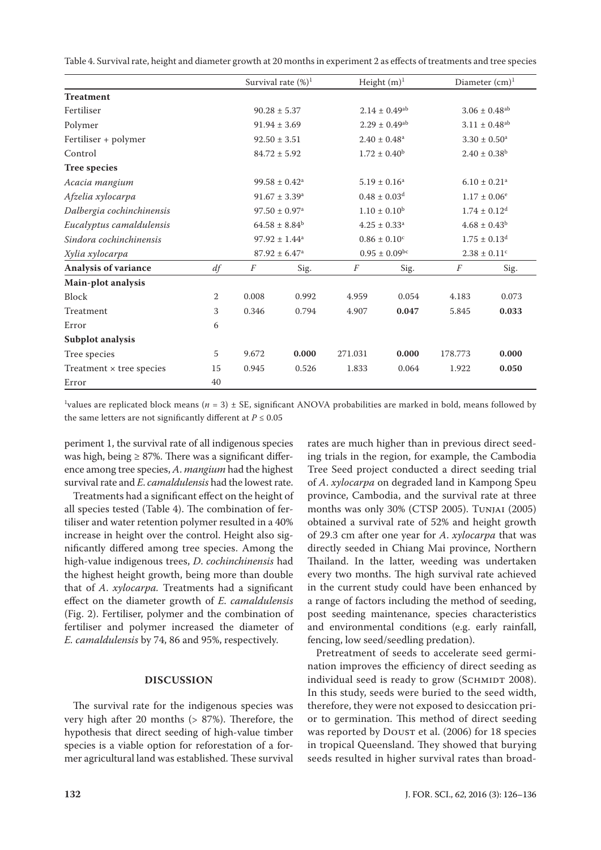Table 4. Survival rate, height and diameter growth at 20 months in experiment 2 as effects of treatments and tree species

|                                 |    |                               | Survival rate $(\%)^1$        | Height $(m)^1$                |                               |                              | Diameter $(cm)^1$             |  |
|---------------------------------|----|-------------------------------|-------------------------------|-------------------------------|-------------------------------|------------------------------|-------------------------------|--|
| <b>Treatment</b>                |    |                               |                               |                               |                               |                              |                               |  |
| Fertiliser                      |    |                               | $90.28 \pm 5.37$              |                               | $2.14 \pm 0.49$ <sup>ab</sup> |                              | $3.06\pm0.48^{\text{ab}}$     |  |
| Polymer                         |    |                               | $91.94 \pm 3.69$              |                               | $2.29 \pm 0.49$ <sup>ab</sup> |                              | $3.11 \pm 0.48$ <sup>ab</sup> |  |
| Fertiliser + polymer            |    |                               | $92.50 \pm 3.51$              |                               | $2.40 \pm 0.48$ <sup>a</sup>  |                              | $3.30 \pm 0.50^a$             |  |
| Control                         |    |                               | $84.72 \pm 5.92$              |                               | $1.72 \pm 0.40^{\rm b}$       |                              | $2.40 \pm 0.38^b$             |  |
| <b>Tree species</b>             |    |                               |                               |                               |                               |                              |                               |  |
| Acacia mangium                  |    | $99.58 \pm 0.42$ <sup>a</sup> |                               | $5.19 \pm 0.16^a$             |                               | $6.10 \pm 0.21$ <sup>a</sup> |                               |  |
| Afzelia xylocarpa               |    |                               | $91.67 \pm 3.39^a$            |                               | $0.48 \pm 0.03$ <sup>d</sup>  |                              | $1.17 \pm 0.06^{\circ}$       |  |
| Dalbergia cochinchinensis       |    |                               | $97.50 \pm 0.97$ <sup>a</sup> |                               | $1.10 \pm 0.10^{\rm b}$       |                              | $1.74 \pm 0.12$ <sup>d</sup>  |  |
| Eucalyptus camaldulensis        |    |                               | $64.58 \pm 8.84^b$            |                               | $4.25 \pm 0.33$ <sup>a</sup>  |                              | $4.68 \pm 0.43^b$             |  |
| Sindora cochinchinensis         |    | $97.92 \pm 1.44^a$            |                               | $0.86 \pm 0.10^c$             |                               | $1.75 \pm 0.13$ <sup>d</sup> |                               |  |
| Xylia xylocarpa                 |    | $87.92 \pm 6.47$ <sup>a</sup> |                               | $0.95 \pm 0.09$ <sup>bc</sup> |                               | $2.38 \pm 0.11$ <sup>c</sup> |                               |  |
| Analysis of variance            | df | F                             | Sig.                          | F                             | Sig.                          | F                            | Sig.                          |  |
| Main-plot analysis              |    |                               |                               |                               |                               |                              |                               |  |
| Block                           | 2  | 0.008                         | 0.992                         | 4.959                         | 0.054                         | 4.183                        | 0.073                         |  |
| Treatment                       | 3  | 0.346                         | 0.794                         | 4.907                         | 0.047                         | 5.845                        | 0.033                         |  |
| Error                           | 6  |                               |                               |                               |                               |                              |                               |  |
| Subplot analysis                |    |                               |                               |                               |                               |                              |                               |  |
| Tree species                    | 5  | 9.672                         | 0.000                         | 271.031                       | 0.000                         | 178.773                      | 0.000                         |  |
| Treatment $\times$ tree species | 15 | 0.945                         | 0.526                         | 1.833                         | 0.064                         | 1.922                        | 0.050                         |  |
| Error                           | 40 |                               |                               |                               |                               |                              |                               |  |

<sup>1</sup>values are replicated block means ( $n = 3$ )  $\pm$  SE, significant ANOVA probabilities are marked in bold, means followed by the same letters are not significantly different at  $P \le 0.05$ 

periment 1, the survival rate of all indigenous species was high, being  $\geq$  87%. There was a significant difference among tree species, *A*. *mangium* had the highest survival rate and *E*. *camaldulensis* had the lowest rate.

Treatments had a significant effect on the height of all species tested (Table 4). The combination of fertiliser and water retention polymer resulted in a 40% increase in height over the control. Height also significantly differed among tree species. Among the high-value indigenous trees, *D*. *cochinchinensis* had the highest height growth, being more than double that of *A*. *xylocarpa.* Treatments had a significant effect on the diameter growth of *E*. *camaldulensis*  (Fig. 2). Fertiliser, polymer and the combination of fertiliser and polymer increased the diameter of *E. camaldulensis* by 74, 86 and 95%, respectively.

# **DISCUSSION**

The survival rate for the indigenous species was very high after 20 months (> 87%). Therefore, the hypothesis that direct seeding of high-value timber species is a viable option for reforestation of a former agricultural land was established. These survival rates are much higher than in previous direct seeding trials in the region, for example, the Cambodia Tree Seed project conducted a direct seeding trial of *A*. *xylocarpa* on degraded land in Kampong Speu province, Cambodia, and the survival rate at three months was only 30% (CTSP 2005). Tunjai (2005) obtained a survival rate of 52% and height growth of 29.3 cm after one year for *A*. *xylocarpa* that was directly seeded in Chiang Mai province, Northern Thailand. In the latter, weeding was undertaken every two months. The high survival rate achieved in the current study could have been enhanced by a range of factors including the method of seeding, post seeding maintenance, species characteristics and environmental conditions (e.g. early rainfall, fencing, low seed/seedling predation).

Pretreatment of seeds to accelerate seed germination improves the efficiency of direct seeding as individual seed is ready to grow (SCHMIDT 2008). In this study, seeds were buried to the seed width, therefore, they were not exposed to desiccation prior to germination. This method of direct seeding was reported by DOUST et al. (2006) for 18 species in tropical Queensland. They showed that burying seeds resulted in higher survival rates than broad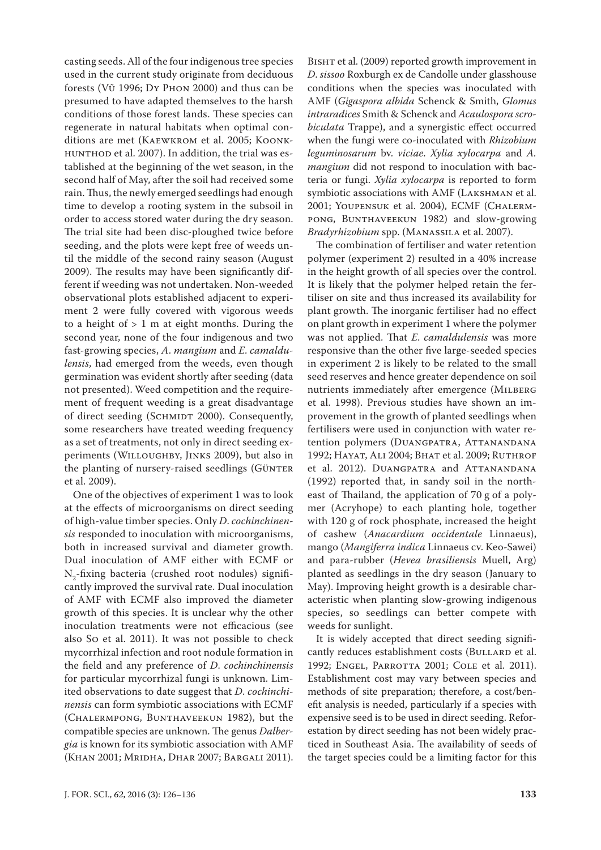casting seeds. All of the four indigenous tree species used in the current study originate from deciduous forests (Vũ 1996; Dy Phon 2000) and thus can be presumed to have adapted themselves to the harsh conditions of those forest lands. These species can regenerate in natural habitats when optimal conditions are met (Kaewkrom et al. 2005; Koonk-HUNTHOD et al. 2007). In addition, the trial was established at the beginning of the wet season, in the second half of May, after the soil had received some rain. Thus, the newly emerged seedlings had enough time to develop a rooting system in the subsoil in order to access stored water during the dry season. The trial site had been disc-ploughed twice before seeding, and the plots were kept free of weeds until the middle of the second rainy season (August 2009). The results may have been significantly different if weeding was not undertaken. Non-weeded observational plots established adjacent to experiment 2 were fully covered with vigorous weeds to a height of  $> 1$  m at eight months. During the second year, none of the four indigenous and two fast-growing species, *A*. *mangium* and *E*. *camaldulensis*, had emerged from the weeds, even though germination was evident shortly after seeding (data not presented). Weed competition and the requirement of frequent weeding is a great disadvantage of direct seeding (SCHMIDT 2000). Consequently, some researchers have treated weeding frequency as a set of treatments, not only in direct seeding experiments (Willoughby, Jinks 2009), but also in the planting of nursery-raised seedlings (GÜNTER et al. 2009).

One of the objectives of experiment 1 was to look at the effects of microorganisms on direct seeding of high-value timber species. Only *D*. *cochinchinensis* responded to inoculation with microorganisms, both in increased survival and diameter growth. Dual inoculation of AMF either with ECMF or  $N_{2}$ -fixing bacteria (crushed root nodules) significantly improved the survival rate. Dual inoculation of AMF with ECMF also improved the diameter growth of this species. It is unclear why the other inoculation treatments were not efficacious (see also So et al. 2011). It was not possible to check mycorrhizal infection and root nodule formation in the field and any preference of *D*. *cochinchinensis* for particular mycorrhizal fungi is unknown. Limited observations to date suggest that *D*. *cochinchinensis* can form symbiotic associations with ECMF (Chalermpong, Bunthaveekun 1982), but the compatible species are unknown. The genus *Dalbergia* is known for its symbiotic association with AMF (Khan 2001; Mridha, Dhar 2007; Bargali 2011).

BISHT et al. (2009) reported growth improvement in *D*. *sissoo* Roxburgh ex de Candolle under glasshouse conditions when the species was inoculated with AMF (*Gigaspora albida* Schenck & Smith, *Glomus intraradices* Smith & Schenck and *Acaulospora scrobiculata* Trappe), and a synergistic effect occurred when the fungi were co-inoculated with *Rhizobium leguminosarum* bv. *viciae*. *Xylia xylocarpa* and *A. mangium* did not respond to inoculation with bacteria or fungi. *Xylia xylocarpa* is reported to form symbiotic associations with AMF (Lakshman et al. 2001; Youpensuk et al. 2004), ECMF (Chalermpong, Bunthaveekun 1982) and slow-growing *Bradyrhizobium* spp. (Manassila et al. 2007).

The combination of fertiliser and water retention polymer (experiment 2) resulted in a 40% increase in the height growth of all species over the control. It is likely that the polymer helped retain the fertiliser on site and thus increased its availability for plant growth. The inorganic fertiliser had no effect on plant growth in experiment 1 where the polymer was not applied. That *E*. *camaldulensis* was more responsive than the other five large-seeded species in experiment 2 is likely to be related to the small seed reserves and hence greater dependence on soil nutrients immediately after emergence (MILBERG et al. 1998). Previous studies have shown an improvement in the growth of planted seedlings when fertilisers were used in conjunction with water retention polymers (DUANGPATRA, ATTANANDANA 1992; Hayat, Ali 2004; Bhat et al. 2009; Ruthrof et al. 2012). Duangpatra and Attanandana (1992) reported that, in sandy soil in the northeast of Thailand, the application of 70 g of a polymer (Acryhope) to each planting hole, together with 120 g of rock phosphate, increased the height of cashew (*Anacardium occidentale* Linnaeus), mango (*Mangiferra indica* Linnaeus cv. Keo-Sawei) and para-rubber (*Hevea brasiliensis* Muell, Arg) planted as seedlings in the dry season (January to May). Improving height growth is a desirable characteristic when planting slow-growing indigenous species, so seedlings can better compete with weeds for sunlight.

It is widely accepted that direct seeding significantly reduces establishment costs (BULLARD et al. 1992; ENGEL, PARROTTA 2001; COLE et al. 2011). Establishment cost may vary between species and methods of site preparation; therefore, a cost/benefit analysis is needed, particularly if a species with expensive seed is to be used in direct seeding. Reforestation by direct seeding has not been widely practiced in Southeast Asia. The availability of seeds of the target species could be a limiting factor for this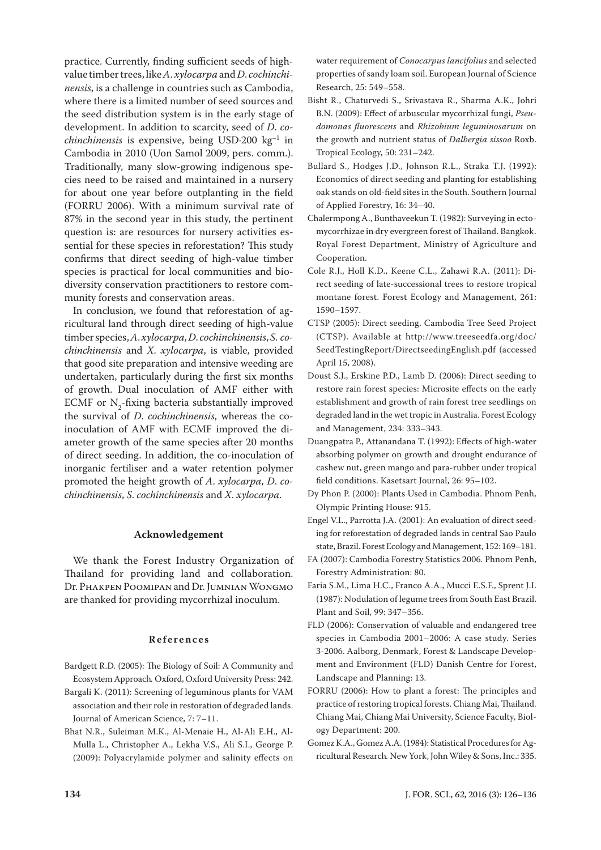practice. Currently, finding sufficient seeds of highvalue timber trees, like *A*. *xylocarpa* and *D*. *cochinchinensis*, is a challenge in countries such as Cambodia, where there is a limited number of seed sources and the seed distribution system is in the early stage of development. In addition to scarcity, seed of *D*. *cochinchinensis* is expensive, being USD-200  $kg^{-1}$  in Cambodia in 2010 (Uon Samol 2009, pers. comm.). Traditionally, many slow-growing indigenous species need to be raised and maintained in a nursery for about one year before outplanting in the field (FORRU 2006). With a minimum survival rate of 87% in the second year in this study, the pertinent question is: are resources for nursery activities essential for these species in reforestation? This study confirms that direct seeding of high-value timber species is practical for local communities and biodiversity conservation practitioners to restore community forests and conservation areas.

In conclusion, we found that reforestation of agricultural land through direct seeding of high-value timber species, *A*. *xylocarpa*, *D*. *cochinchinensis*, *S*. *cochinchinensis* and *X*. *xylocarpa*, is viable, provided that good site preparation and intensive weeding are undertaken, particularly during the first six months of growth. Dual inoculation of AMF either with ECMF or  $N_2$ -fixing bacteria substantially improved the survival of *D*. *cochinchinensis*, whereas the coinoculation of AMF with ECMF improved the diameter growth of the same species after 20 months of direct seeding. In addition, the co-inoculation of inorganic fertiliser and a water retention polymer promoted the height growth of *A*. *xylocarpa*, *D*. *cochinchinensis*, *S*. *cochinchinensis* and *X*. *xylocarpa*.

# **Acknowledgement**

We thank the Forest Industry Organization of Thailand for providing land and collaboration. Dr. PHAKPEN POOMIPAN and Dr. JUMNIAN WONGMO are thanked for providing mycorrhizal inoculum.

## **References**

- Bardgett R.D. (2005): The Biology of Soil: A Community and Ecosystem Approach*.* Oxford, Oxford University Press: 242.
- Bargali K. (2011): Screening of leguminous plants for VAM association and their role in restoration of degraded lands. Journal of American Science, 7: 7–11.
- Bhat N.R., Suleiman M.K., Al-Menaie H., Al-Ali E.H., Al-Mulla L., Christopher A., Lekha V.S., Ali S.I., George P. (2009): Polyacrylamide polymer and salinity effects on

water requirement of *Conocarpus lancifolius* and selected properties of sandy loam soil. European Journal of Science Research, 25: 549–558.

- Bisht R., Chaturvedi S., Srivastava R., Sharma A.K., Johri B.N. (2009): Effect of arbuscular mycorrhizal fungi, *Pseudomonas fluorescens* and *Rhizobium leguminosarum* on the growth and nutrient status of *Dalbergia sissoo* Roxb. Tropical Ecology, 50: 231–242.
- Bullard S., Hodges J.D., Johnson R.L., Straka T.J. (1992): Economics of direct seeding and planting for establishing oak stands on old-field sites in the South. Southern Journal of Applied Forestry, 16: 34–40.
- Chalermpong A., Bunthaveekun T. (1982): Surveying in ectomycorrhizae in dry evergreen forest of Thailand. Bangkok. Royal Forest Department, Ministry of Agriculture and Cooperation.
- Cole R.J., Holl K.D., Keene C.L., Zahawi R.A. (2011): Direct seeding of late-successional trees to restore tropical montane forest. Forest Ecology and Management, 261: 1590–1597.
- CTSP (2005): Direct seeding. Cambodia Tree Seed Project (CTSP). Available at http://www.treeseedfa.org/doc/ SeedTestingReport/DirectseedingEnglish.pdf (accessed April 15, 2008).
- Doust S.J., Erskine P.D., Lamb D. (2006): Direct seeding to restore rain forest species: Microsite effects on the early establishment and growth of rain forest tree seedlings on degraded land in the wet tropic in Australia. Forest Ecology and Management, 234: 333–343.
- Duangpatra P., Attanandana T. (1992): Effects of high-water absorbing polymer on growth and drought endurance of cashew nut, green mango and para-rubber under tropical field conditions. Kasetsart Journal, 26: 95–102.
- Dy Phon P. (2000): Plants Used in Cambodia. Phnom Penh, Olympic Printing House: 915.
- Engel V.L., Parrotta J.A. (2001): An evaluation of direct seeding for reforestation of degraded lands in central Sao Paulo state, Brazil. Forest Ecology and Management, 152: 169–181.
- FA (2007): Cambodia Forestry Statistics 2006. Phnom Penh, Forestry Administration: 80.
- Faria S.M., Lima H.C., Franco A.A., Mucci E.S.F., Sprent J.I. (1987): Nodulation of legume trees from South East Brazil. Plant and Soil, 99: 347–356.
- FLD (2006): Conservation of valuable and endangered tree species in Cambodia 2001–2006: A case study*.* Series 3-2006. Aalborg, Denmark, Forest & Landscape Development and Environment (FLD) Danish Centre for Forest, Landscape and Planning: 13.
- FORRU (2006): How to plant a forest: The principles and practice of restoring tropical forests. Chiang Mai, Thailand. Chiang Mai, Chiang Mai University, Science Faculty, Biology Department: 200.
- Gomez K.A., Gomez A.A. (1984): Statistical Procedures for Agricultural Research*.* New York, John Wiley & Sons, Inc.: 335.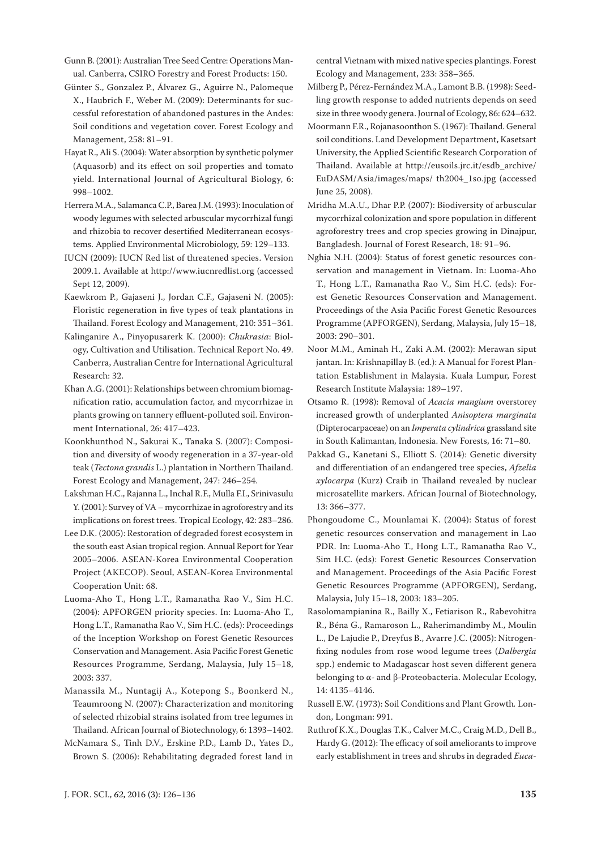Gunn B. (2001): Australian Tree Seed Centre: Operations Manual. Canberra, CSIRO Forestry and Forest Products: 150.

- Günter S., Gonzalez P., Álvarez G., Aguirre N., Palomeque X., Haubrich F., Weber M. (2009): Determinants for successful reforestation of abandoned pastures in the Andes: Soil conditions and vegetation cover. Forest Ecology and Management, 258: 81–91.
- Hayat R., Ali S. (2004): Water absorption by synthetic polymer (Aquasorb) and its effect on soil properties and tomato yield. International Journal of Agricultural Biology, 6: 998–1002.
- Herrera M.A., Salamanca C.P., Barea J.M. (1993): Inoculation of woody legumes with selected arbuscular mycorrhizal fungi and rhizobia to recover desertified Mediterranean ecosystems. Applied Environmental Microbiology, 59: 129–133.
- IUCN (2009): IUCN Red list of threatened species. Version 2009.1. Available at http://www.iucnredlist.org (accessed Sept 12, 2009).
- Kaewkrom P., Gajaseni J., Jordan C.F., Gajaseni N. (2005): Floristic regeneration in five types of teak plantations in Thailand. Forest Ecology and Management, 210: 351–361.
- Kalinganire A., Pinyopusarerk K. (2000): *Chukrasia*: Biology, Cultivation and Utilisation. Technical Report No. 49. Canberra, Australian Centre for International Agricultural Research: 32.
- Khan A.G. (2001): Relationships between chromium biomagnification ratio, accumulation factor, and mycorrhizae in plants growing on tannery effluent-polluted soil. Environment International, 26: 417–423.
- Koonkhunthod N., Sakurai K., Tanaka S. (2007): Composition and diversity of woody regeneration in a 37-year-old teak (*Tectona grandis* L.) plantation in Northern Thailand. Forest Ecology and Management, 247: 246–254.
- Lakshman H.C., Rajanna L., Inchal R.F., Mulla F.I., Srinivasulu Y. (2001): Survey of VA – mycorrhizae in agroforestry and its implications on forest trees. Tropical Ecology, 42: 283–286.
- Lee D.K. (2005): Restoration of degraded forest ecosystem in the south east Asian tropical region. Annual Report for Year 2005–2006. ASEAN-Korea Environmental Cooperation Project (AKECOP). Seoul, ASEAN-Korea Environmental Cooperation Unit: 68.
- Luoma-Aho T., Hong L.T., Ramanatha Rao V., Sim H.C. (2004): APFORGEN priority species. In: Luoma-Aho T., Hong L.T., Ramanatha Rao V., Sim H.C. (eds): Proceedings of the Inception Workshop on Forest Genetic Resources Conservation and Management. Asia Pacific Forest Genetic Resources Programme, Serdang, Malaysia, July 15–18, 2003: 337.
- Manassila M., Nuntagij A., Kotepong S., Boonkerd N., Teaumroong N. (2007): Characterization and monitoring of selected rhizobial strains isolated from tree legumes in Thailand. African Journal of Biotechnology, 6: 1393–1402.
- McNamara S., Tinh D.V., Erskine P.D., Lamb D., Yates D., Brown S. (2006): Rehabilitating degraded forest land in

central Vietnam with mixed native species plantings. Forest Ecology and Management, 233: 358–365.

- Milberg P., Pérez-Fernández M.A., Lamont B.B. (1998): Seedling growth response to added nutrients depends on seed size in three woody genera. Journal of Ecology, 86: 624–632.
- Moormann F.R., Rojanasoonthon S. (1967): Thailand. General soil conditions. Land Development Department, Kasetsart University, the Applied Scientific Research Corporation of Thailand. Available at http://eusoils.jrc.it/esdb\_archive/ EuDASM/Asia/images/maps/ th2004\_1so.jpg (accessed June 25, 2008).
- Mridha M.A.U., Dhar P.P. (2007): Biodiversity of arbuscular mycorrhizal colonization and spore population in different agroforestry trees and crop species growing in Dinajpur, Bangladesh. Journal of Forest Research, 18: 91–96.
- Nghia N.H. (2004): Status of forest genetic resources conservation and management in Vietnam. In: Luoma-Aho T., Hong L.T., Ramanatha Rao V., Sim H.C. (eds): Forest Genetic Resources Conservation and Management. Proceedings of the Asia Pacific Forest Genetic Resources Programme (APFORGEN), Serdang, Malaysia, July 15–18, 2003: 290–301.
- Noor M.M., Aminah H., Zaki A.M. (2002): Merawan siput jantan. In: Krishnapillay B. (ed.): A Manual for Forest Plantation Establishment in Malaysia. Kuala Lumpur, Forest Research Institute Malaysia: 189–197.
- Otsamo R. (1998): Removal of *Acacia mangium* overstorey increased growth of underplanted *Anisoptera marginata*  (Dipterocarpaceae) on an *Imperata cylindrica* grassland site in South Kalimantan, Indonesia. New Forests, 16: 71–80.
- Pakkad G., Kanetani S., Elliott S. (2014): Genetic diversity and differentiation of an endangered tree species, *Afzelia xylocarpa* (Kurz) Craib in Thailand revealed by nuclear microsatellite markers. African Journal of Biotechnology, 13: 366–377.
- Phongoudome C., Mounlamai K. (2004): Status of forest genetic resources conservation and management in Lao PDR. In: Luoma-Aho T., Hong L.T., Ramanatha Rao V., Sim H.C. (eds): Forest Genetic Resources Conservation and Management. Proceedings of the Asia Pacific Forest Genetic Resources Programme (APFORGEN), Serdang, Malaysia, July 15–18, 2003: 183–205.
- Rasolomampianina R., Bailly X., Fetiarison R., Rabevohitra R., Béna G., Ramaroson L., Raherimandimby M., Moulin L., De Lajudie P., Dreyfus B., Avarre J.C. (2005): Nitrogenfixing nodules from rose wood legume trees (*Dalbergia* spp.) endemic to Madagascar host seven different genera belonging to α- and β-Proteobacteria. Molecular Ecology, 14: 4135–4146.
- Russell E.W. (1973): Soil Conditions and Plant Growth*.* London, Longman: 991.
- Ruthrof K.X., Douglas T.K., Calver M.C., Craig M.D., Dell B., Hardy G. (2012): The efficacy of soil ameliorants to improve early establishment in trees and shrubs in degraded *Euca-*